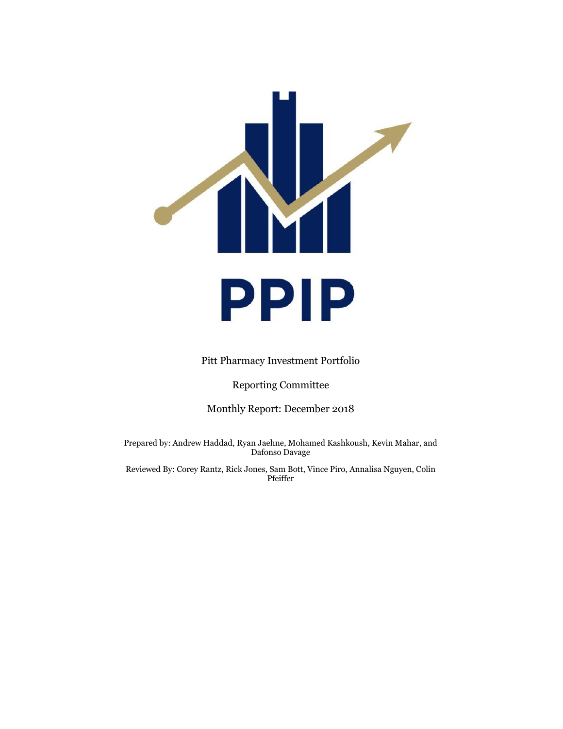

Pitt Pharmacy Investment Portfolio

Reporting Committee

Monthly Report: December 2018

Prepared by: Andrew Haddad, Ryan Jaehne, Mohamed Kashkoush, Kevin Mahar, and Dafonso Davage

Reviewed By: Corey Rantz, Rick Jones, Sam Bott, Vince Piro, Annalisa Nguyen, Colin Pfeiffer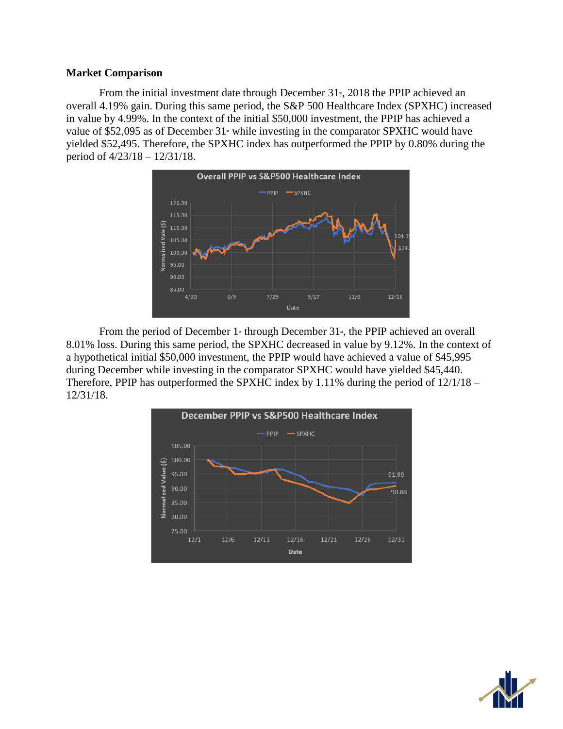#### **Market Comparison**

From the initial investment date through December  $31<sup>s</sup>$ , 2018 the PPIP achieved an overall 4.19% gain. During this same period, the S&P 500 Healthcare Index (SPXHC) increased in value by 4.99%. In the context of the initial \$50,000 investment, the PPIP has achieved a value of \$52,095 as of December  $31$ <sup>s</sup> while investing in the comparator SPXHC would have yielded \$52,495. Therefore, the SPXHC index has outperformed the PPIP by 0.80% during the period of 4/23/18 – 12/31/18.



From the period of December  $1$ <sup>s</sup> through December  $31$ <sup>s</sup>, the PPIP achieved an overall 8.01% loss. During this same period, the SPXHC decreased in value by 9.12%. In the context of a hypothetical initial \$50,000 investment, the PPIP would have achieved a value of \$45,995 during December while investing in the comparator SPXHC would have yielded \$45,440. Therefore, PPIP has outperformed the SPXHC index by 1.11% during the period of 12/1/18 – 12/31/18.



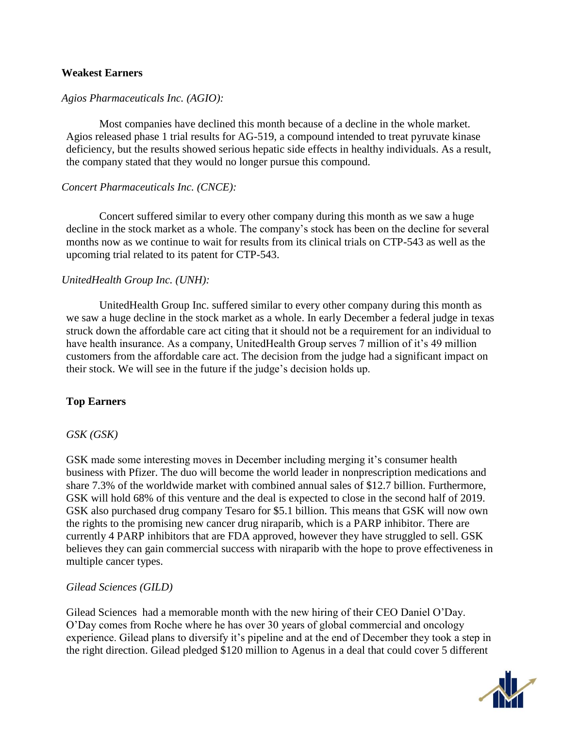#### **Weakest Earners**

## *Agios Pharmaceuticals Inc. (AGIO):*

Most companies have declined this month because of a decline in the whole market. Agios released phase 1 trial results for AG-519, a compound intended to treat pyruvate kinase deficiency, but the results showed serious hepatic side effects in healthy individuals. As a result, the company stated that they would no longer pursue this compound.

## *Concert Pharmaceuticals Inc. (CNCE):*

Concert suffered similar to every other company during this month as we saw a huge decline in the stock market as a whole. The company's stock has been on the decline for several months now as we continue to wait for results from its clinical trials on CTP-543 as well as the upcoming trial related to its patent for CTP-543.

## *UnitedHealth Group Inc. (UNH):*

UnitedHealth Group Inc. suffered similar to every other company during this month as we saw a huge decline in the stock market as a whole. In early December a federal judge in texas struck down the affordable care act citing that it should not be a requirement for an individual to have health insurance. As a company, UnitedHealth Group serves 7 million of it's 49 million customers from the affordable care act. The decision from the judge had a significant impact on their stock. We will see in the future if the judge's decision holds up.

# **Top Earners**

#### *GSK (GSK)*

GSK made some interesting moves in December including merging it's consumer health business with Pfizer. The duo will become the world leader in nonprescription medications and share 7.3% of the worldwide market with combined annual sales of \$12.7 billion. Furthermore, GSK will hold 68% of this venture and the deal is expected to close in the second half of 2019. GSK also purchased drug company Tesaro for \$5.1 billion. This means that GSK will now own the rights to the promising new cancer drug niraparib, which is a PARP inhibitor. There are currently 4 PARP inhibitors that are FDA approved, however they have struggled to sell. GSK believes they can gain commercial success with niraparib with the hope to prove effectiveness in multiple cancer types.

#### *Gilead Sciences (GILD)*

Gilead Sciences had a memorable month with the new hiring of their CEO Daniel O'Day. O'Day comes from Roche where he has over 30 years of global commercial and oncology experience. Gilead plans to diversify it's pipeline and at the end of December they took a step in the right direction. Gilead pledged \$120 million to Agenus in a deal that could cover 5 different